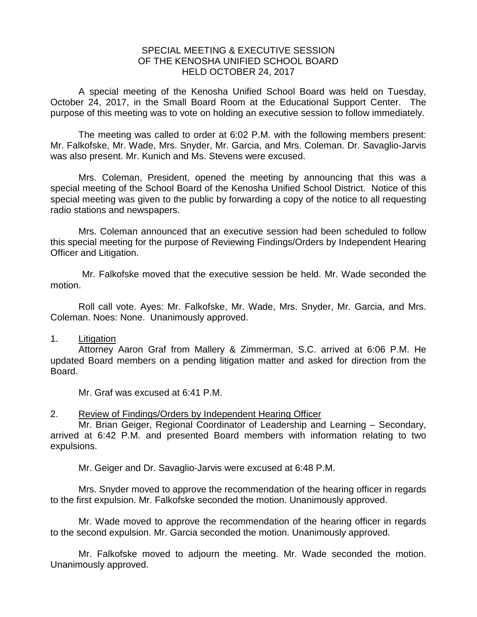## SPECIAL MEETING & EXECUTIVE SESSION OF THE KENOSHA UNIFIED SCHOOL BOARD HELD OCTOBER 24, 2017

A special meeting of the Kenosha Unified School Board was held on Tuesday, October 24, 2017, in the Small Board Room at the Educational Support Center. The purpose of this meeting was to vote on holding an executive session to follow immediately.

The meeting was called to order at 6:02 P.M. with the following members present: Mr. Falkofske, Mr. Wade, Mrs. Snyder, Mr. Garcia, and Mrs. Coleman. Dr. Savaglio-Jarvis was also present. Mr. Kunich and Ms. Stevens were excused.

Mrs. Coleman, President, opened the meeting by announcing that this was a special meeting of the School Board of the Kenosha Unified School District. Notice of this special meeting was given to the public by forwarding a copy of the notice to all requesting radio stations and newspapers.

Mrs. Coleman announced that an executive session had been scheduled to follow this special meeting for the purpose of Reviewing Findings/Orders by Independent Hearing Officer and Litigation.

Mr. Falkofske moved that the executive session be held. Mr. Wade seconded the motion.

Roll call vote. Ayes: Mr. Falkofske, Mr. Wade, Mrs. Snyder, Mr. Garcia, and Mrs. Coleman. Noes: None. Unanimously approved.

## 1. Litigation

Attorney Aaron Graf from Mallery & Zimmerman, S.C. arrived at 6:06 P.M. He updated Board members on a pending litigation matter and asked for direction from the Board.

Mr. Graf was excused at 6:41 P.M.

## 2. Review of Findings/Orders by Independent Hearing Officer

Mr. Brian Geiger, Regional Coordinator of Leadership and Learning – Secondary, arrived at 6:42 P.M. and presented Board members with information relating to two expulsions.

Mr. Geiger and Dr. Savaglio-Jarvis were excused at 6:48 P.M.

Mrs. Snyder moved to approve the recommendation of the hearing officer in regards to the first expulsion. Mr. Falkofske seconded the motion. Unanimously approved.

Mr. Wade moved to approve the recommendation of the hearing officer in regards to the second expulsion. Mr. Garcia seconded the motion. Unanimously approved.

Mr. Falkofske moved to adjourn the meeting. Mr. Wade seconded the motion. Unanimously approved.